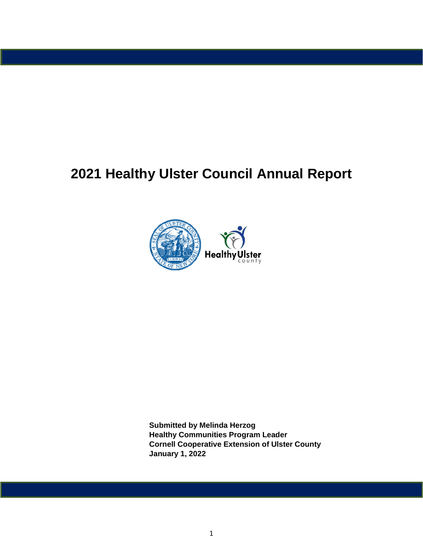# **2021 Healthy Ulster Council Annual Report**



**Submitted by Melinda Herzog Healthy Communities Program Leader Cornell Cooperative Extension of Ulster County January 1, 2022**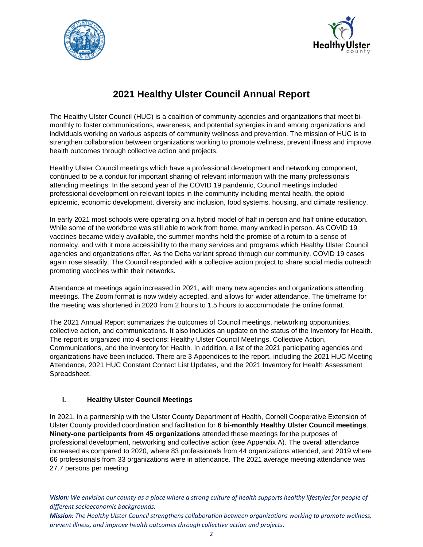



# **2021 Healthy Ulster Council Annual Report**

The Healthy Ulster Council (HUC) is a coalition of community agencies and organizations that meet bimonthly to foster communications, awareness, and potential synergies in and among organizations and individuals working on various aspects of community wellness and prevention. The mission of HUC is to strengthen collaboration between organizations working to promote wellness, prevent illness and improve health outcomes through collective action and projects.

Healthy Ulster Council meetings which have a professional development and networking component, continued to be a conduit for important sharing of relevant information with the many professionals attending meetings. In the second year of the COVID 19 pandemic, Council meetings included professional development on relevant topics in the community including mental health, the opioid epidemic, economic development, diversity and inclusion, food systems, housing, and climate resiliency.

In early 2021 most schools were operating on a hybrid model of half in person and half online education. While some of the workforce was still able to work from home, many worked in person. As COVID 19 vaccines became widely available, the summer months held the promise of a return to a sense of normalcy, and with it more accessibility to the many services and programs which Healthy Ulster Council agencies and organizations offer. As the Delta variant spread through our community, COVID 19 cases again rose steadily. The Council responded with a collective action project to share social media outreach promoting vaccines within their networks.

Attendance at meetings again increased in 2021, with many new agencies and organizations attending meetings. The Zoom format is now widely accepted, and allows for wider attendance. The timeframe for the meeting was shortened in 2020 from 2 hours to 1.5 hours to accommodate the online format.

The 2021 Annual Report summarizes the outcomes of Council meetings, networking opportunities, collective action, and communications. It also includes an update on the status of the Inventory for Health. The report is organized into 4 sections: Healthy Ulster Council Meetings, Collective Action, Communications, and the Inventory for Health. In addition, a list of the 2021 participating agencies and organizations have been included. There are 3 Appendices to the report, including the 2021 HUC Meeting Attendance, 2021 HUC Constant Contact List Updates, and the 2021 Inventory for Health Assessment Spreadsheet.

# **I. Healthy Ulster Council Meetings**

In 2021, in a partnership with the Ulster County Department of Health, Cornell Cooperative Extension of Ulster County provided coordination and facilitation for **6 bi-monthly Healthy Ulster Council meetings**. **Ninety-one participants from 45 organizations** attended these meetings for the purposes of professional development, networking and collective action (see Appendix A). The overall attendance increased as compared to 2020, where 83 professionals from 44 organizations attended, and 2019 where 66 professionals from 33 organizations were in attendance. The 2021 average meeting attendance was 27.7 persons per meeting.

*Vision: We envision our county as a place where a strong culture of health supports healthy lifestyles for people of different socioeconomic backgrounds.*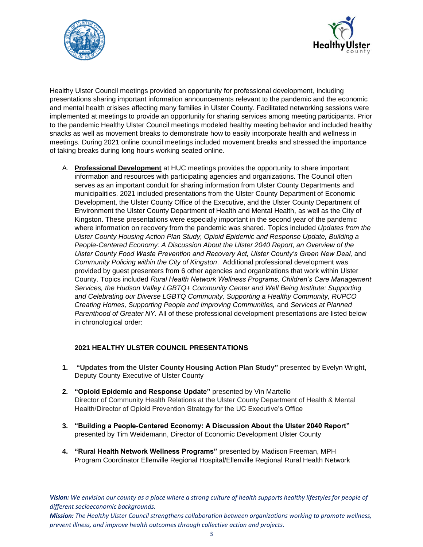



Healthy Ulster Council meetings provided an opportunity for professional development, including presentations sharing important information announcements relevant to the pandemic and the economic and mental health crisises affecting many families in Ulster County. Facilitated networking sessions were implemented at meetings to provide an opportunity for sharing services among meeting participants. Prior to the pandemic Healthy Ulster Council meetings modeled healthy meeting behavior and included healthy snacks as well as movement breaks to demonstrate how to easily incorporate health and wellness in meetings. During 2021 online council meetings included movement breaks and stressed the importance of taking breaks during long hours working seated online.

A. **Professional Development** at HUC meetings provides the opportunity to share important information and resources with participating agencies and organizations. The Council often serves as an important conduit for sharing information from Ulster County Departments and municipalities. 2021 included presentations from the Ulster County Department of Economic Development, the Ulster County Office of the Executive, and the Ulster County Department of Environment the Ulster County Department of Health and Mental Health, as well as the City of Kingston. These presentations were especially important in the second year of the pandemic where information on recovery from the pandemic was shared. Topics included *Updates from the Ulster County Housing Action Plan Study, Opioid Epidemic and Response Update, Building a People-Centered Economy: A Discussion About the Ulster 2040 Report, an Overview of the*  Ulster County Food Waste Prevention and Recovery Act, Ulster County's Green New Deal, and *Community Policing within the City of Kingston*. Additional professional development was provided by guest presenters from 6 other agencies and organizations that work within Ulster County. Topics included *Rural Health Network Wellness Programs, Children's Care Management Services, the Hudson Valley LGBTQ+ Community Center and Well Being Institute: Supporting and Celebrating our Diverse LGBTQ Community, Supporting a Healthy Community, RUPCO Creating Homes, Supporting People and Improving Communities,* and *Services at Planned Parenthood of Greater NY.* All of these professional development presentations are listed below in chronological order:

# **2021 HEALTHY ULSTER COUNCIL PRESENTATIONS**

- **1. "Updates from the Ulster County Housing Action Plan Study"** presented by Evelyn Wright, Deputy County Executive of Ulster County
- **2. "Opioid Epidemic and Response Update"** presented by Vin Martello Director of Community Health Relations at the Ulster County Department of Health & Mental Health/Director of Opioid Prevention Strategy for the UC Executive's Office
- **3. "Building a People-Centered Economy: A Discussion About the Ulster 2040 Report"** presented by Tim Weidemann, Director of Economic Development Ulster County
- **4. "Rural Health Network Wellness Programs"** presented by Madison Freeman, MPH Program Coordinator Ellenville Regional Hospital/Ellenville Regional Rural Health Network

*Vision: We envision our county as a place where a strong culture of health supports healthy lifestyles for people of different socioeconomic backgrounds.*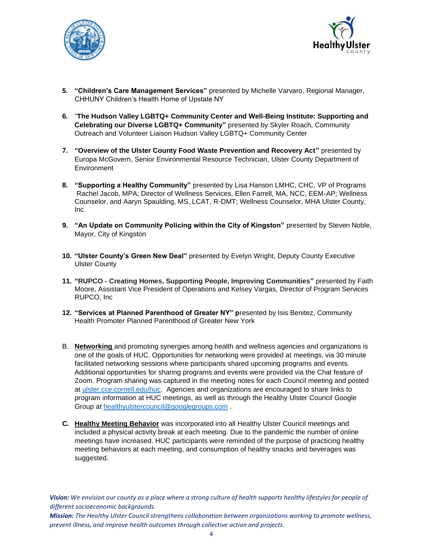



- **5. "Children's Care Management Services"** presented by Michelle Varvaro, Regional Manager, CHHUNY Children's Health Home of Upstate NY
- **6.** "**The Hudson Valley LGBTQ+ Community Center and Well-Being Institute: Supporting and Celebrating our Diverse LGBTQ+ Community"** presented by Skyler Roach, Community Outreach and Volunteer Liaison Hudson Valley LGBTQ+ Community Center
- **7. "Overview of the Ulster County Food Waste Prevention and Recovery Act"** presented by Europa McGovern, Senior Environmental Resource Technician, Ulster County Department of **Environment**
- **8. "Supporting a Healthy Community"** presented by Lisa Hanson LMHC, CHC, VP of Programs Rachel Jacob, MPA; Director of Wellness Services, Ellen Farrell, MA, NCC, EEM-AP; Wellness Counselor, and Aaryn Spaulding, MS, LCAT, R-DMT; Wellness Counselor, MHA Ulster County, Inc.
- **9. "An Update on Community Policing within the City of Kingston"** presented by Steven Noble, Mayor, City of Kingston
- **10. "Ulster County's Green New Deal"** presented by Evelyn Wright, Deputy County Executive Ulster County
- **11. "RUPCO - Creating Homes, Supporting People, Improving Communities"** presented by Faith Moore, Assistant Vice President of Operations and Kelsey Vargas, Director of Program Services RUPCO, Inc
- **12. "Services at Planned Parenthood of Greater NY" p**resented by Isis Benitez, Community Health Promoter Planned Parenthood of Greater New York
- B. **Networking** and promoting synergies among health and wellness agencies and organizations is one of the goals of HUC. Opportunities for networking were provided at meetings, via 30 minute facilitated networking sessions where participants shared upcoming programs and events. Additional opportunities for sharing programs and events were provided via the Chat feature of Zoom. Program sharing was captured in the meeting notes for each Council meeting and posted at [ulster.cce.cornell.edu/huc.](ulster.cce.cornell.edu/huc) Agencies and organizations are encouraged to share links to program information at HUC meetings, as well as through the Healthy Ulster Council Google Group a[t healthyulstercouncil@googlegroups.com](mailto:healthyulstercouncil@googlegroups.com) .
- **C. Healthy Meeting Behavior** was incorporated into all Healthy Ulster Council meetings and included a physical activity break at each meeting. Due to the pandemic the number of online meetings have increased. HUC participants were reminded of the purpose of practicing healthy meeting behaviors at each meeting, and consumption of healthy snacks and beverages was suggested.

*Vision: We envision our county as a place where a strong culture of health supports healthy lifestyles for people of different socioeconomic backgrounds.*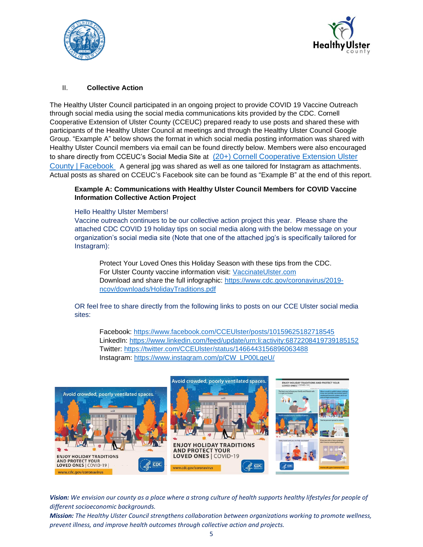



# II. **Collective Action**

The Healthy Ulster Council participated in an ongoing project to provide COVID 19 Vaccine Outreach through social media using the social media communications kits provided by the CDC. Cornell Cooperative Extension of Ulster County (CCEUC) prepared ready to use posts and shared these with participants of the Healthy Ulster Council at meetings and through the Healthy Ulster Council Google Group. "Example A" below shows the format in which social media posting information was shared with Healthy Ulster Council members via email can be found directly below. Members were also encouraged to share directly from CCEUC's Social Media Site at (20+) Cornell Cooperative Extension Ulster [County | Facebook](https://www.facebook.com/CCEUlster) A general jpg was shared as well as one tailored for Instagram as attachments. Actual posts as shared on CCEUC's Facebook site can be found as "Example B" at the end of this report.

#### **Example A: Communications with Healthy Ulster Council Members for COVID Vaccine Information Collective Action Project**

#### Hello Healthy Ulster Members!

Vaccine outreach continues to be our collective action project this year. Please share the attached CDC COVID 19 holiday tips on social media along with the below message on your organization's social media site (Note that one of the attached jpg's is specifically tailored for Instagram):

Protect Your Loved Ones this Holiday Season with these tips from the CDC. For Ulster County vaccine information visit: [VaccinateUlster.com](http://www.vaccinateulster.com/) Download and share the full infographic: [https://www.cdc.gov/coronavirus/2019](https://www.cdc.gov/coronavirus/2019-ncov/downloads/HolidayTraditions.pdf) [ncov/downloads/HolidayTraditions.pdf](https://www.cdc.gov/coronavirus/2019-ncov/downloads/HolidayTraditions.pdf)

OR feel free to share directly from the following links to posts on our CCE Ulster social media sites:

Facebook:<https://www.facebook.com/CCEUlster/posts/10159625182718545> LinkedIn:<https://www.linkedin.com/feed/update/urn:li:activity:6872208419739185152> Twitter:<https://twitter.com/CCEUlster/status/1466443156896063488> Instagram: [https://www.instagram.com/p/CW\\_LP00LgeU/](https://www.instagram.com/p/CW_LP00LgeU/)



*Vision: We envision our county as a place where a strong culture of health supports healthy lifestyles for people of different socioeconomic backgrounds.*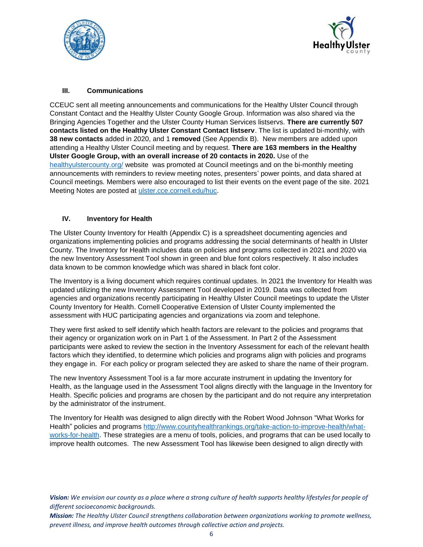



# **III. Communications**

CCEUC sent all meeting announcements and communications for the Healthy Ulster Council through Constant Contact and the Healthy Ulster County Google Group. Information was also shared via the Bringing Agencies Together and the Ulster County Human Services listservs. **There are currently 507 contacts listed on the Healthy Ulster Constant Contact listserv**. The list is updated bi-monthly, with **38 new contacts** added in 2020, and 1 **removed** (See Appendix B). New members are added upon attending a Healthy Ulster Council meeting and by request. **There are 163 members in the Healthy Ulster Google Group, with an overall increase of 20 contacts in 2020.** Use of the [healthyulstercounty.org/](https://healthyulstercounty.org/) website was promoted at Council meetings and on the bi-monthly meeting announcements with reminders to review meeting notes, presenters' power points, and data shared at Council meetings. Members were also encouraged to list their events on the event page of the site. 2021 Meeting Notes are posted at [ulster.cce.cornell.edu/huc.](file:///C:/Users/mmh62/Documents/Melinda)

# **IV. Inventory for Health**

The Ulster County Inventory for Health (Appendix C) is a spreadsheet documenting agencies and organizations implementing policies and programs addressing the social determinants of health in Ulster County. The Inventory for Health includes data on policies and programs collected in 2021 and 2020 via the new Inventory Assessment Tool shown in green and blue font colors respectively. It also includes data known to be common knowledge which was shared in black font color.

The Inventory is a living document which requires continual updates. In 2021 the Inventory for Health was updated utilizing the new Inventory Assessment Tool developed in 2019. Data was collected from agencies and organizations recently participating in Healthy Ulster Council meetings to update the Ulster County Inventory for Health. Cornell Cooperative Extension of Ulster County implemented the assessment with HUC participating agencies and organizations via zoom and telephone.

They were first asked to self identify which health factors are relevant to the policies and programs that their agency or organization work on in Part 1 of the Assessment. In Part 2 of the Assessment participants were asked to review the section in the Inventory Assessment for each of the relevant health factors which they identified, to determine which policies and programs align with policies and programs they engage in. For each policy or program selected they are asked to share the name of their program.

The new Inventory Assessment Tool is a far more accurate instrument in updating the Inventory for Health, as the language used in the Assessment Tool aligns directly with the language in the Inventory for Health. Specific policies and programs are chosen by the participant and do not require any interpretation by the administrator of the instrument.

The Inventory for Health was designed to align directly with the Robert Wood Johnson "What Works for Health" policies and programs [http://www.countyhealthrankings.org/take-action-to-improve-health/what](http://www.countyhealthrankings.org/take-action-to-improve-health/what-works-for-health)[works-for-health.](http://www.countyhealthrankings.org/take-action-to-improve-health/what-works-for-health) These strategies are a menu of tools, policies, and programs that can be used locally to improve health outcomes. The new Assessment Tool has likewise been designed to align directly with

*Vision: We envision our county as a place where a strong culture of health supports healthy lifestyles for people of different socioeconomic backgrounds.*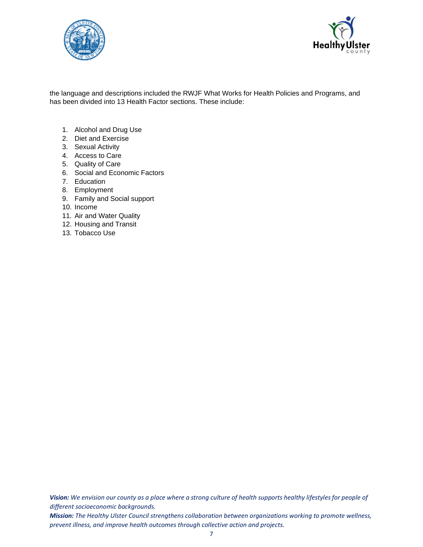



the language and descriptions included the RWJF What Works for Health Policies and Programs, and has been divided into 13 Health Factor sections. These include:

- 1. Alcohol and Drug Use
- 2. Diet and Exercise
- 3. Sexual Activity
- 4. Access to Care
- 5. Quality of Care
- 6. Social and Economic Factors
- 7. Education
- 8. Employment
- 9. Family and Social support
- 10. Income
- 11. Air and Water Quality
- 12. Housing and Transit
- 13. Tobacco Use

*Vision: We envision our county as a place where a strong culture of health supports healthy lifestyles for people of different socioeconomic backgrounds.*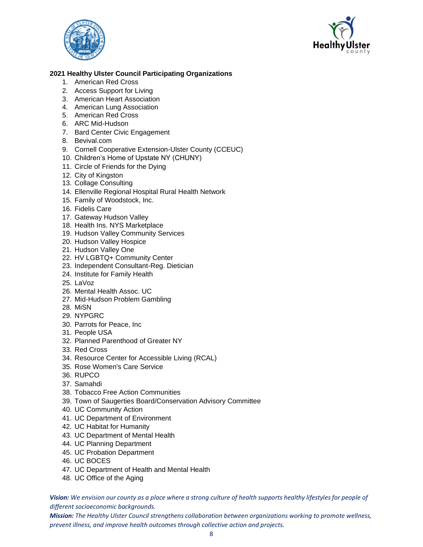



# **2021 Healthy Ulster Council Participating Organizations**

- 1. American Red Cross
- 2. Access Support for Living
- 3. American Heart Association
- 4. American Lung Association
- 5. American Red Cross
- 6. ARC Mid-Hudson
- 7. Bard Center Civic Engagement
- 8. Bevival.com
- 9. Cornell Cooperative Extension-Ulster County (CCEUC)
- 10. Children's Home of Upstate NY (CHUNY)
- 11. Circle of Friends for the Dying
- 12. City of Kingston
- 13. Collage Consulting
- 14. Ellenville Regional Hospital Rural Health Network
- 15. Family of Woodstock, Inc.
- 16. Fidelis Care
- 17. Gateway Hudson Valley
- 18. Health Ins. NYS Marketplace
- 19. Hudson Valley Community Services
- 20. Hudson Valley Hospice
- 21. Hudson Valley One
- 22. HV LGBTQ+ Community Center
- 23. Independent Consultant-Reg. Dietician
- 24. Institute for Family Health
- 25. LaVoz
- 26. Mental Health Assoc. UC
- 27. Mid-Hudson Problem Gambling
- 28. MiSN
- 29. NYPGRC
- 30. Parrots for Peace, Inc
- 31. People USA
- 32. Planned Parenthood of Greater NY
- 33. Red Cross
- 34. Resource Center for Accessible Living (RCAL)
- 35. Rose Women's Care Service
- 36. RUPCO
- 37. Samahdi
- 38. Tobacco Free Action Communities
- 39. Town of Saugerties Board/Conservation Advisory Committee
- 40. UC Community Action
- 41. UC Department of Environment
- 42. UC Habitat for Humanity
- 43. UC Department of Mental Health
- 44. UC Planning Department
- 45. UC Probation Department
- 46. UC BOCES
- 47. UC Department of Health and Mental Health
- 48. UC Office of the Aging

*Vision: We envision our county as a place where a strong culture of health supports healthy lifestyles for people of different socioeconomic backgrounds.*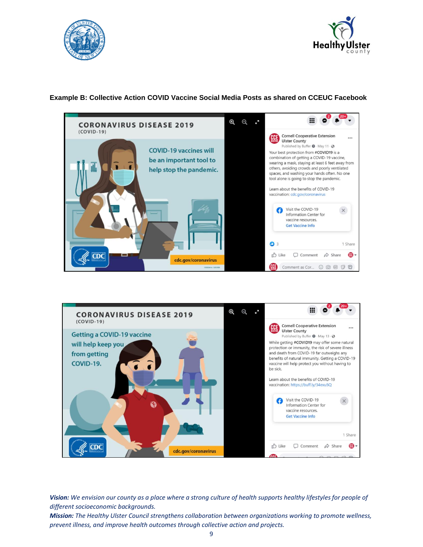



# **Example B: Collective Action COVID Vaccine Social Media Posts as shared on CCEUC Facebook**





*Vision: We envision our county as a place where a strong culture of health supports healthy lifestyles for people of different socioeconomic backgrounds.*